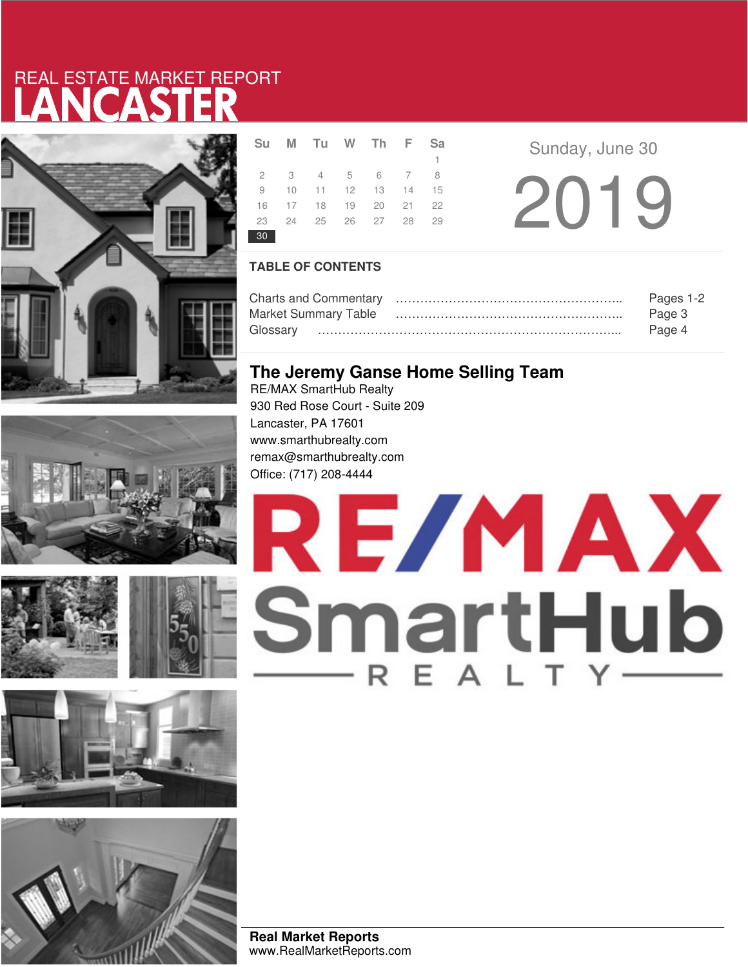# LANCASTER REAL ESTATE MARKET REPORT









|                 | Su M Tu W Th F Sa    |  |    |  |
|-----------------|----------------------|--|----|--|
|                 |                      |  | 1. |  |
|                 | 2 3 4 5 6 7 8        |  |    |  |
|                 | 9 10 11 12 13 14 15  |  |    |  |
|                 | 16 17 18 19 20 21 22 |  |    |  |
|                 | 23 24 25 26 27 28 29 |  |    |  |
| 30 <sup>°</sup> |                      |  |    |  |

2019 **R F Sunday**, June 30

### **TABLE OF CONTENTS**

|                             | Pages 1-2 |
|-----------------------------|-----------|
| <b>Market Summary Table</b> | Page 3    |
|                             | Page 4    |

### **The Jeremy Ganse Home Selling Team**

RE/MAX SmartHub Realty 930 Red Rose Court - Suite 209 Lancaster, PA 17601 www.smarthubrealty.com remax@smarthubrealty.com Office: (717) 208-4444



**Real Market Reports** www.RealMarketReports.com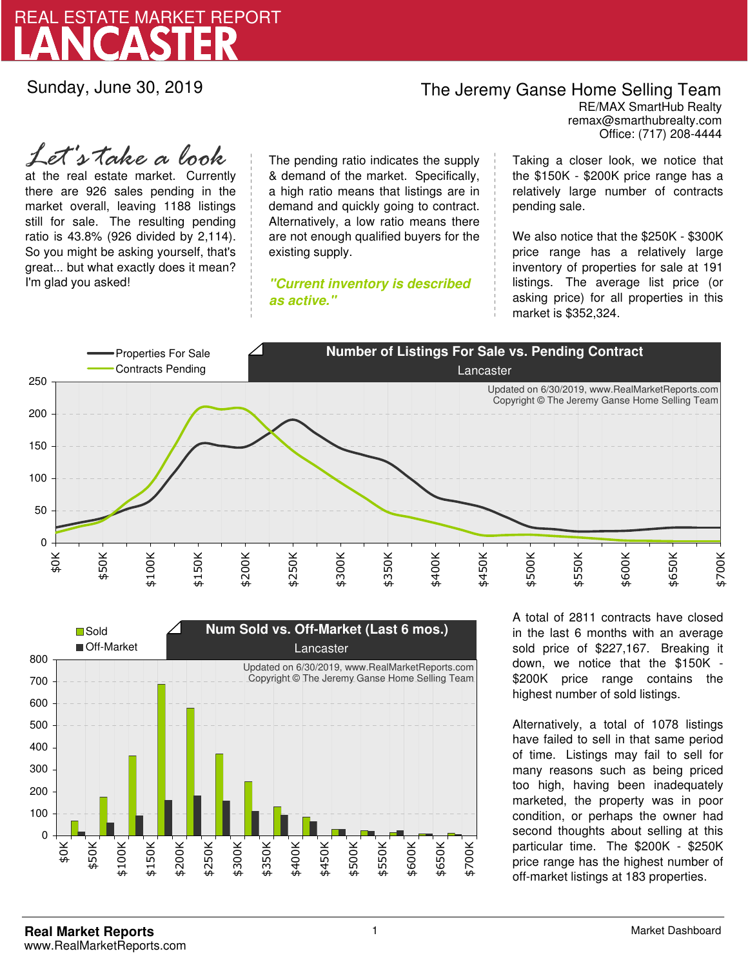

Sunday, June 30, 2019

### The Jeremy Ganse Home Selling Team

remax@smarthubrealty.com RE/MAX SmartHub Realty Office: (717) 208-4444

at the real estate market. Currently there are 926 sales pending in the market overall, leaving 1188 listings still for sale. The resulting pending ratio is 43.8% (926 divided by 2,114). So you might be asking yourself, that's great... but what exactly does it mean? I'm glad you asked! *Let's take a look*

The pending ratio indicates the supply & demand of the market. Specifically, a high ratio means that listings are in demand and quickly going to contract. Alternatively, a low ratio means there are not enough qualified buyers for the existing supply.

**"Current inventory is described as active."**

Taking a closer look, we notice that the \$150K - \$200K price range has a relatively large number of contracts pending sale.

We also notice that the \$250K - \$300K price range has a relatively large inventory of properties for sale at 191 listings. The average list price (or asking price) for all properties in this market is \$352,324.





A total of 2811 contracts have closed in the last 6 months with an average sold price of \$227,167. Breaking it down, we notice that the \$150K - \$200K price range contains the highest number of sold listings.

Alternatively, a total of 1078 listings have failed to sell in that same period of time. Listings may fail to sell for many reasons such as being priced too high, having been inadequately marketed, the property was in poor condition, or perhaps the owner had second thoughts about selling at this particular time. The \$200K - \$250K price range has the highest number of off-market listings at 183 properties.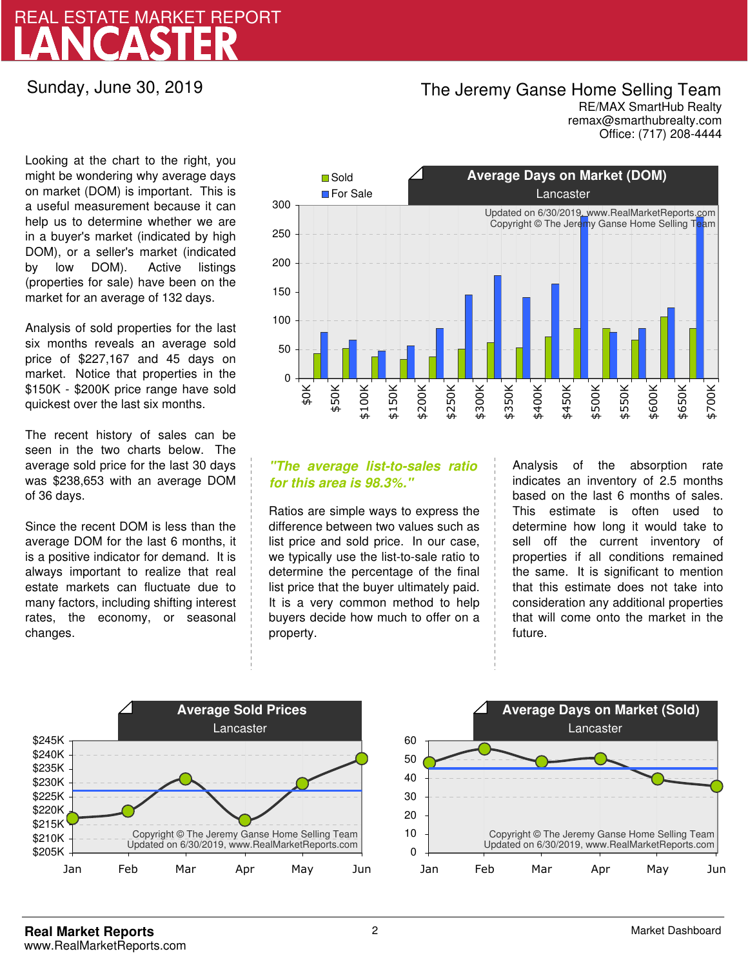## LANCASTER REAL ESTATE MARKET REPORT

Sunday, June 30, 2019

### The Jeremy Ganse Home Selling Team

remax@smarthubrealty.com RE/MAX SmartHub Realty Office: (717) 208-4444

Looking at the chart to the right, you might be wondering why average days on market (DOM) is important. This is a useful measurement because it can help us to determine whether we are in a buyer's market (indicated by high DOM), or a seller's market (indicated by low DOM). Active listings (properties for sale) have been on the market for an average of 132 days.

Analysis of sold properties for the last six months reveals an average sold price of \$227,167 and 45 days on market. Notice that properties in the \$150K - \$200K price range have sold quickest over the last six months.

The recent history of sales can be seen in the two charts below. The average sold price for the last 30 days was \$238,653 with an average DOM of 36 days.

Since the recent DOM is less than the average DOM for the last 6 months, it is a positive indicator for demand. It is always important to realize that real estate markets can fluctuate due to many factors, including shifting interest rates, the economy, or seasonal changes.



### **"The average list-to-sales ratio for this area is 98.3%."**

Ratios are simple ways to express the difference between two values such as list price and sold price. In our case, we typically use the list-to-sale ratio to determine the percentage of the final list price that the buyer ultimately paid. It is a very common method to help buyers decide how much to offer on a property.

Analysis of the absorption rate indicates an inventory of 2.5 months based on the last 6 months of sales. This estimate is often used to determine how long it would take to sell off the current inventory of properties if all conditions remained the same. It is significant to mention that this estimate does not take into consideration any additional properties that will come onto the market in the future.



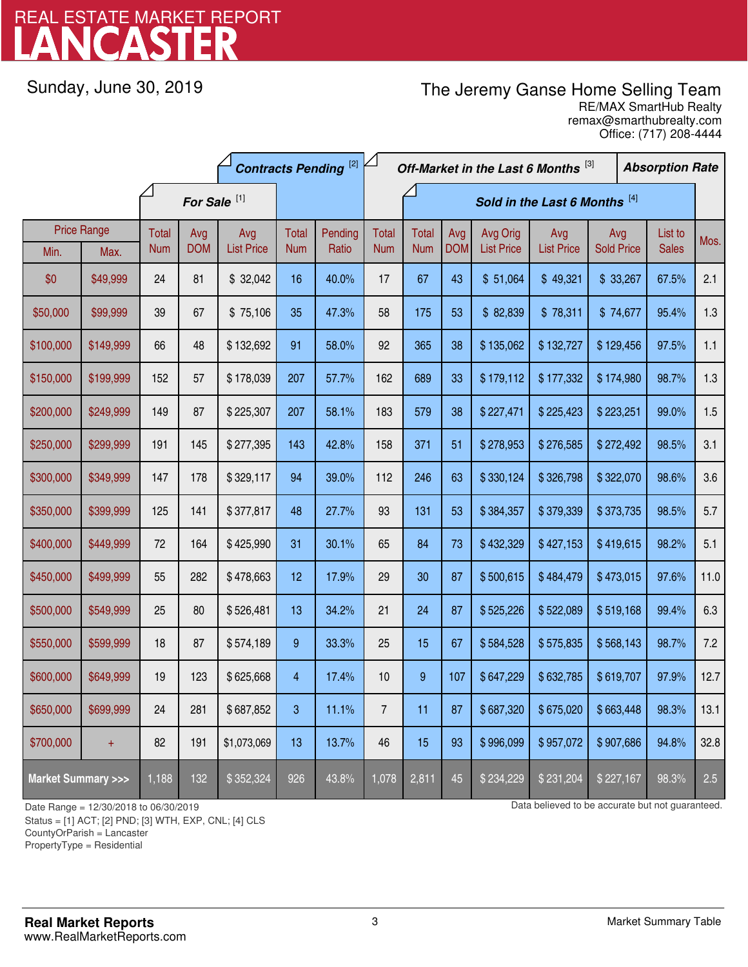## LANCASTER REAL ESTATE MARKET REPORT

Sunday, June 30, 2019

## The Jeremy Ganse Home Selling Team

remax@smarthubrealty.com RE/MAX SmartHub Realty Office: (717) 208-4444

|                                    |                    | <b>Contracts Pending [2]</b> |                         |                   |                         |         | Off-Market in the Last 6 Months [3] |                               |            |                   |                   | <b>Absorption Rate</b> |  |              |      |
|------------------------------------|--------------------|------------------------------|-------------------------|-------------------|-------------------------|---------|-------------------------------------|-------------------------------|------------|-------------------|-------------------|------------------------|--|--------------|------|
|                                    |                    |                              | For Sale <sup>[1]</sup> |                   |                         |         |                                     | Sold in the Last 6 Months [4] |            |                   |                   |                        |  |              |      |
|                                    | <b>Price Range</b> | Total                        | Avg                     | Avg               | Total                   | Pending | <b>Total</b>                        | Total                         | Avg        | Avg Orig          | Avg               | Avg                    |  | List to      | Mos. |
| Min.                               | Max.               | <b>Num</b>                   | <b>DOM</b>              | <b>List Price</b> | <b>Num</b>              | Ratio   | <b>Num</b>                          | <b>Num</b>                    | <b>DOM</b> | <b>List Price</b> | <b>List Price</b> | <b>Sold Price</b>      |  | <b>Sales</b> |      |
| \$0                                | \$49,999           | 24                           | 81                      | \$32,042          | 16                      | 40.0%   | 17                                  | 67                            | 43         | \$51,064          | \$49,321          | \$33,267               |  | 67.5%        | 2.1  |
| \$50,000                           | \$99,999           | 39                           | 67                      | \$75,106          | 35                      | 47.3%   | 58                                  | 175                           | 53         | \$82,839          | \$78,311          | \$74,677               |  | 95.4%        | 1.3  |
| \$100,000                          | \$149,999          | 66                           | 48                      | \$132,692         | 91                      | 58.0%   | 92                                  | 365                           | 38         | \$135,062         | \$132,727         | \$129,456              |  | 97.5%        | 1.1  |
| \$150,000                          | \$199,999          | 152                          | 57                      | \$178,039         | 207                     | 57.7%   | 162                                 | 689                           | 33         | \$179,112         | \$177,332         | \$174,980              |  | 98.7%        | 1.3  |
| \$200,000                          | \$249,999          | 149                          | 87                      | \$225,307         | 207                     | 58.1%   | 183                                 | 579                           | 38         | \$227,471         | \$225,423         | \$223,251              |  | 99.0%        | 1.5  |
| \$250,000                          | \$299,999          | 191                          | 145                     | \$277,395         | 143                     | 42.8%   | 158                                 | 371                           | 51         | \$278,953         | \$276,585         | \$272,492              |  | 98.5%        | 3.1  |
| \$300,000                          | \$349,999          | 147                          | 178                     | \$329,117         | 94                      | 39.0%   | 112                                 | 246                           | 63         | \$330,124         | \$326,798         | \$322,070              |  | 98.6%        | 3.6  |
| \$350,000                          | \$399,999          | 125                          | 141                     | \$377,817         | 48                      | 27.7%   | 93                                  | 131                           | 53         | \$384,357         | \$379,339         | \$373,735              |  | 98.5%        | 5.7  |
| \$400,000                          | \$449,999          | 72                           | 164                     | \$425,990         | 31                      | 30.1%   | 65                                  | 84                            | 73         | \$432,329         | \$427,153         | \$419,615              |  | 98.2%        | 5.1  |
| \$450,000                          | \$499,999          | 55                           | 282                     | \$478,663         | 12                      | 17.9%   | 29                                  | 30                            | 87         | \$500,615         | \$484,479         | \$473,015              |  | 97.6%        | 11.0 |
| \$500,000                          | \$549,999          | 25                           | 80                      | \$526,481         | 13                      | 34.2%   | 21                                  | 24                            | 87         | \$525,226         | \$522,089         | \$519,168              |  | 99.4%        | 6.3  |
| \$550,000                          | \$599,999          | 18                           | 87                      | \$574,189         | 9                       | 33.3%   | 25                                  | 15                            | 67         | \$584,528         | \$575,835         | \$568,143              |  | 98.7%        | 7.2  |
| \$600,000                          | \$649,999          | 19                           | 123                     | \$625,668         | $\overline{\mathbf{4}}$ | 17.4%   | 10                                  | 9                             | 107        | \$647,229         | \$632,785         | \$619,707              |  | 97.9%        | 12.7 |
| \$650,000                          | \$699,999          | 24                           | 281                     | \$687,852         | 3                       | 11.1%   | $\overline{7}$                      | 11                            | 87         | \$687,320         | \$675,020         | \$663,448              |  | 98.3%        | 13.1 |
| \$700,000                          | $\ddot{}$          | 82                           | 191                     | \$1,073,069       | 13                      | 13.7%   | 46                                  | 15                            | 93         | \$996,099         | \$957,072         | \$907,686              |  | 94.8%        | 32.8 |
| <b>Market Summary &gt;&gt;&gt;</b> |                    | 1,188                        | 132                     | \$352,324         | 926                     | 43.8%   | 1,078                               | 2,811                         | 45         | \$234,229         | \$231,204         | \$227,167              |  | 98.3%        | 2.5  |

Status = [1] ACT; [2] PND; [3] WTH, EXP, CNL; [4] CLS

CountyOrParish = Lancaster

PropertyType = Residential

1

Date Range = 12/30/2018 to 06/30/2019 Data believed to be accurate but not guaranteed.